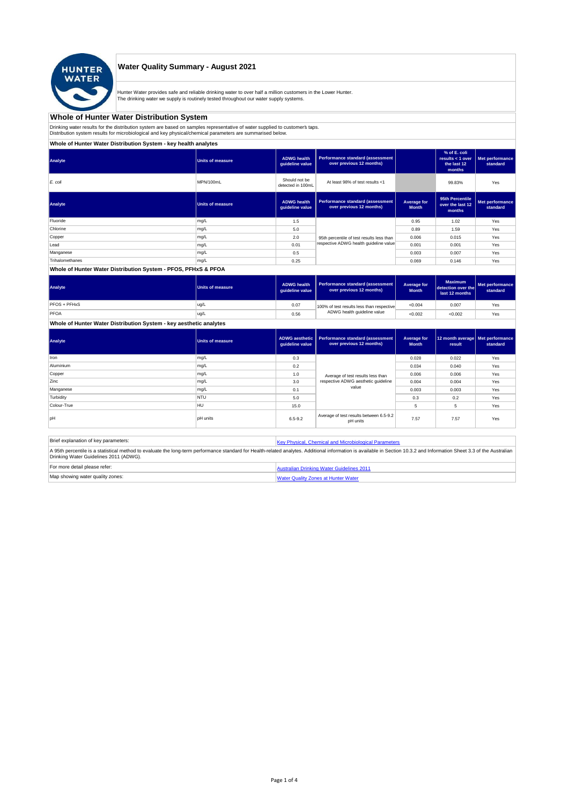

## **Water Quality Summary - August 2021**

Hunter Water provides safe and reliable drinking water to over half a million customers in the Lower Hunter. The drinking water we supply is routinely tested throughout our water supply systems.

# **Whole of Hunter Water Distribution System**

Drinking water results for the distribution system are based on samples representative of water supplied to customer' taps.<br>Distribution system results for microbiological and key physical/chemical parameters are summarise

# **Whole of Hunter Water Distribution System - key health analytes**

| Analyte         | <b>Units of measure</b> | <b>ADWG</b> health<br>guideline value | Performance standard (assessment<br>over previous 12 months)        |                             | % of E. coli<br>results $<$ 1 over<br>the last 12<br>months | Met performance<br>standard |
|-----------------|-------------------------|---------------------------------------|---------------------------------------------------------------------|-----------------------------|-------------------------------------------------------------|-----------------------------|
| E. coli         | MPN/100mL               | Should not be<br>detected in 100mL    | At least 98% of test results <1                                     |                             | 99.83%                                                      | Yes                         |
| Analyte         | Units of measure        | <b>ADWG</b> health<br>guideline value | <b>Performance standard (assessment</b><br>over previous 12 months) | Average for<br><b>Month</b> | 95th Percentile<br>over the last 12<br>months               | Met performance<br>standard |
| Fluoride        | mg/L                    | 1.5                                   |                                                                     | 0.95                        | 1.02                                                        | Yes                         |
| Chlorine        | mg/L                    | 5.0                                   |                                                                     | 0.89                        | 1.59                                                        | Yes                         |
| Copper          | mg/L                    | 2.0                                   | 95th percentile of test results less than                           | 0.006                       | 0.015                                                       | Yes                         |
| Lead            | mg/L                    | 0.01                                  | respective ADWG health guideline value                              | 0.001                       | 0.001                                                       | Yes                         |
| Manganese       | mg/L                    | 0.5                                   |                                                                     | 0.003                       | 0.007                                                       | Yes                         |
| Trihalomethanes | mg/L                    | 0.25                                  |                                                                     | 0.069                       | 0.146                                                       | Yes                         |
|                 |                         |                                       |                                                                     |                             |                                                             |                             |

### **Whole of Hunter Water Distribution System - PFOS, PFHxS & PFOA**

| Analyte      | <b>Units of measure</b> | <b>ADWG health</b><br>quideline value | Performance standard (assessment<br>over previous 12 months) | <b>Average for</b><br><b>Month</b> | <b>Maximum</b><br>detection over the<br>last 12 months | Met performance<br>standard |
|--------------|-------------------------|---------------------------------------|--------------------------------------------------------------|------------------------------------|--------------------------------------------------------|-----------------------------|
| PFOS + PFHxS | ug/L                    | 0.07                                  | 100% of test results less than respective                    | < 0.004                            | 0.007                                                  | Yes                         |
| PFOA         | ug/L                    | 0.56                                  | ADWG health quideline value                                  | < 0.002                            | < 0.002                                                | Yes                         |

#### **Whole of Hunter Water Distribution System - key aesthetic analytes**

| Analyte     | <b>Units of measure</b> | guideline value | ADWG aesthetic   Performance standard (assessment<br>over previous 12 months) | Average for<br><b>Month</b> | 12 month average   Met performance<br>result | standard |
|-------------|-------------------------|-----------------|-------------------------------------------------------------------------------|-----------------------------|----------------------------------------------|----------|
| Iron        | mg/L                    | 0.3             |                                                                               | 0.028                       | 0.022                                        | Yes      |
| Aluminium   | mg/L                    | 0.2             |                                                                               | 0.034                       | 0.040                                        | Yes      |
| Copper      | mg/L                    | 1.0             | Average of test results less than<br>respective ADWG aesthetic quideline      | 0.006                       | 0.006                                        | Yes      |
| Zinc        | mg/L                    | 3.0             |                                                                               | 0.004                       | 0.004                                        | Yes      |
| Manganese   | mg/L                    | 0.1             | value                                                                         | 0.003                       | 0.003                                        | Yes      |
| Turbidity   | <b>NTU</b>              | 5.0             |                                                                               | 0.3                         | 0.2                                          | Yes      |
| Colour-True | <b>HU</b>               | 15.0            |                                                                               | 5                           | 5                                            | Yes      |
| pH          | <b>pH</b> units         | $6.5 - 9.2$     | Average of test results between 6.5-9.2<br>pH units                           | 7.57                        | 7.57                                         | Yes      |

| Brief explanation of key parameters:   | Key Physical, Chemical and Microbiological Parameters                                                                                                                                                                   |
|----------------------------------------|-------------------------------------------------------------------------------------------------------------------------------------------------------------------------------------------------------------------------|
| Drinking Water Guidelines 2011 (ADWG). | A 95th percentile is a statistical method to evaluate the long-term performance standard for Health-related analytes. Additional information is available in Section 10.3.2 and Information Sheet 3.3 of the Australian |
| For more detail please refer:          | Australian Drinking Water Guidelines 2011                                                                                                                                                                               |
| Map showing water quality zones:       | <b>Water Quality Zones at Hunter Water</b>                                                                                                                                                                              |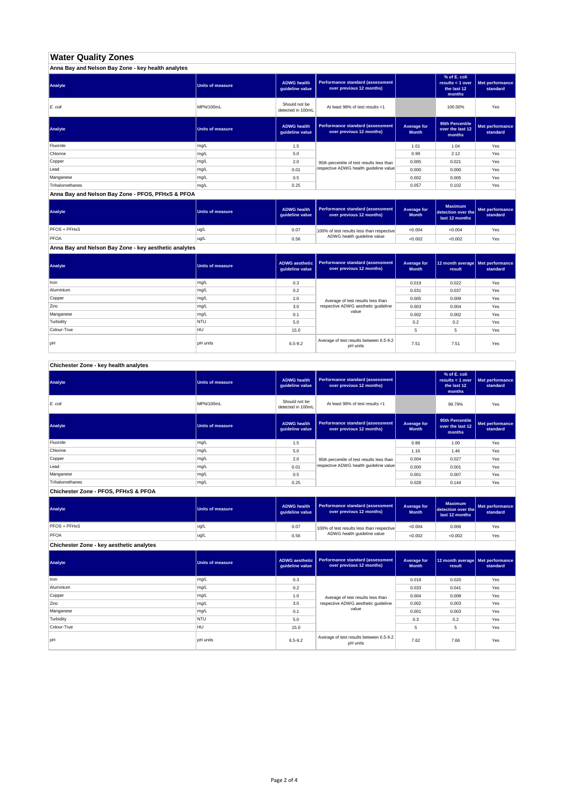# **Water Quality Zones**

| Anna Bay and Nelson Bay Zone - key health analytes |                  |                                       |                                                                     |                             |                                                           |                             |
|----------------------------------------------------|------------------|---------------------------------------|---------------------------------------------------------------------|-----------------------------|-----------------------------------------------------------|-----------------------------|
| Analyte                                            | Units of measure | <b>ADWG health</b><br>guideline value | <b>Performance standard (assessment</b><br>over previous 12 months) |                             | % of E. coli<br>results < 1 over<br>the last 12<br>months | Met performance<br>standard |
| E. coli                                            | MPN/100mL        | Should not be<br>detected in 100mL    | At least 98% of test results <1                                     |                             | 100.00%                                                   | Yes                         |
| Analyte                                            | Units of measure | <b>ADWG health</b><br>guideline value | <b>Performance standard (assessment</b><br>over previous 12 months) | Average for<br><b>Month</b> | 95th Percentile<br>over the last 12<br>months             | Met performance<br>standard |
| Fluoride                                           | mg/L             | 1.5                                   |                                                                     | 1.01                        | 1.04                                                      | Yes                         |
| Chlorine                                           | mg/L             | 5.0                                   |                                                                     | 0.99                        | 2.12                                                      | Yes                         |
| Copper                                             | mg/L             | 2.0                                   | 95th percentile of test results less than                           | 0.005                       | 0.021                                                     | Yes                         |
| Lead                                               | mg/L             | 0.01                                  | respective ADWG health guideline value                              | 0.000                       | 0.000                                                     | Yes                         |
| Manganese                                          | mg/L             | 0.5                                   |                                                                     | 0.002                       | 0.005                                                     | Yes                         |
| Trihalomethanes                                    | mg/L             | 0.25                                  |                                                                     | 0.057                       | 0.102                                                     | Yes                         |

**Anna Bay and Nelson Bay Zone - PFOS, PFHxS & PFOA**

| Analyte      | Units of measure | <b>ADWG health</b><br>quideline value | Performance standard (assessment<br>over previous 12 months) | <b>Average for</b><br><b>Month</b> | <b>Maximum</b><br>detection over the<br>last 12 months | Met performance<br>standard |
|--------------|------------------|---------------------------------------|--------------------------------------------------------------|------------------------------------|--------------------------------------------------------|-----------------------------|
| PFOS + PFHxS | ug/L             | 0.07                                  | 100% of test results less than respective                    | < 0.004                            | < 0.004                                                | Yes                         |
| PFOA         | ug/L             | 0.56                                  | ADWG health guideline value                                  | < 0.002                            | < 0.002                                                | Yes                         |

**Anna Bay and Nelson Bay Zone - key aesthetic analytes**

| Analyte     | Units of measure | ADWG aesthetic  <br>guideline value | Performance standard (assessment<br>over previous 12 months) | Average for<br><b>Month</b> | 12 month average   Met performance<br>result | standard |
|-------------|------------------|-------------------------------------|--------------------------------------------------------------|-----------------------------|----------------------------------------------|----------|
| Iron        | mg/L             | 0.3                                 |                                                              | 0.019                       | 0.022                                        | Yes      |
| Aluminium   | mg/L             | 0.2                                 |                                                              | 0.031                       | 0.037                                        | Yes      |
| Copper      | mg/L             | 1.0                                 | Average of test results less than                            | 0.005                       | 0.009                                        | Yes      |
| Zinc        | mg/L             | 3.0                                 | respective ADWG aesthetic quideline                          | 0.003                       | 0.004                                        | Yes      |
| Manganese   | mg/L             | 0.1                                 | value                                                        | 0.002                       | 0.002                                        | Yes      |
| Turbidity   | <b>NTU</b>       | 5.0                                 |                                                              | 0.2                         | 0.2                                          | Yes      |
| Colour-True | HU               | 15.0                                |                                                              |                             | 5                                            | Yes      |
| pH          | <b>pH</b> units  | $6.5 - 9.2$                         | Average of test results between 6.5-9.2<br>pH units          | 7.51                        | 7.51                                         | Yes      |

**Chichester Zone - key health analytes**

| Analyte         | <b>Units of measure</b> | <b>ADWG health</b><br>guideline value | Performance standard (assessment<br>over previous 12 months) |                             | % of E. coli<br>results $<$ 1 over<br>the last 12<br>months | Met performance<br>standard |
|-----------------|-------------------------|---------------------------------------|--------------------------------------------------------------|-----------------------------|-------------------------------------------------------------|-----------------------------|
| E. coli         | MPN/100mL               | Should not be<br>detected in 100mL    | At least 98% of test results <1                              |                             | 99.79%                                                      | Yes                         |
| Analyte         | Units of measure        | <b>ADWG health</b><br>guideline value | Performance standard (assessment<br>over previous 12 months) | Average for<br><b>Month</b> | 95th Percentile<br>over the last 12<br>months               | Met performance<br>standard |
| Fluoride        | mg/L                    | 1.5                                   |                                                              | 0.88                        | 1.00                                                        | Yes                         |
| Chlorine        | mg/L                    | 5.0                                   |                                                              | 1.16                        | 1.46                                                        | Yes                         |
| Copper          | mg/L                    | 2.0                                   | 95th percentile of test results less than                    | 0.004                       | 0.027                                                       | Yes                         |
| Lead            | mg/L                    | 0.01                                  | respective ADWG health quideline value                       | 0.000                       | 0.001                                                       | Yes                         |
| Manganese       | mg/L                    | 0.5                                   |                                                              | 0.001                       | 0.007                                                       | Yes                         |
| Trihalomethanes | mg/L                    | 0.25                                  |                                                              | 0.028                       | 0.144                                                       | Yes                         |

**Chichester Zone - PFOS, PFHxS & PFOA**

| Analyte                                  | Units of measure | <b>ADWG health</b><br>auideline value | <b>Performance standard (assessment</b><br>over previous 12 months) | Average for<br><b>Month</b> | <b>Maximum</b><br>detection over the<br>last 12 months | Met performance<br>standard |
|------------------------------------------|------------------|---------------------------------------|---------------------------------------------------------------------|-----------------------------|--------------------------------------------------------|-----------------------------|
| PFOS + PFHxS                             | ug/L             | 0.07                                  | 100% of test results less than respective                           | < 0.004                     | 0.006                                                  | Yes                         |
| PFOA                                     | ug/L             | 0.56                                  | ADWG health guideline value                                         | < 0.002                     | < 0.002                                                | Yes                         |
| Chichester Zone - key aesthetic analytes |                  |                                       |                                                                     |                             |                                                        |                             |

| Analyte     | <b>Units of measure</b> | ADWG aesthetic<br>guideline value | Performance standard (assessment<br>over previous 12 months) | Average for<br><b>Month</b> | 12 month average Met performance<br>result | standard |
|-------------|-------------------------|-----------------------------------|--------------------------------------------------------------|-----------------------------|--------------------------------------------|----------|
| Iron        | mg/L                    | 0.3                               |                                                              | 0.018                       | 0.020                                      | Yes      |
| Aluminium   | mg/L                    | 0.2                               |                                                              | 0.033                       | 0.041                                      | Yes      |
| Copper      | mg/L                    | 1.0                               | Average of test results less than                            | 0.004                       | 0.008                                      | Yes      |
| Zinc        | mg/L                    | 3.0                               | respective ADWG aesthetic quideline                          | 0.002                       | 0.003                                      | Yes      |
| Manganese   | mg/L                    | 0.1                               | value                                                        | 0.001                       | 0.003                                      | Yes      |
| Turbidity   | <b>NTU</b>              | 5.0                               |                                                              | 0.3                         | 0.2                                        | Yes      |
| Colour-True | <b>HU</b>               | 15.0                              |                                                              | 5                           | 5                                          | Yes      |
| pH          | <b>pH</b> units         | $6.5 - 9.2$                       | Average of test results between 6.5-9.2<br>pH units          | 7.62                        | 7.66                                       | Yes      |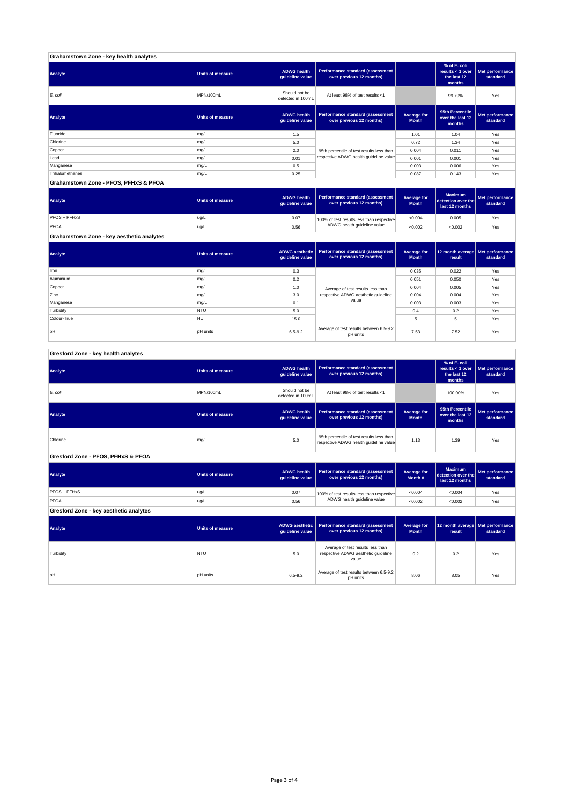| Grahamstown Zone - key health analytes |                  |                                       |                                                              |                             |                                                           |                             |
|----------------------------------------|------------------|---------------------------------------|--------------------------------------------------------------|-----------------------------|-----------------------------------------------------------|-----------------------------|
| Analyte                                | Units of measure | <b>ADWG health</b><br>guideline value | Performance standard (assessment<br>over previous 12 months) |                             | % of E. coli<br>results < 1 over<br>the last 12<br>months | Met performance<br>standard |
| E. coli                                | MPN/100mL        | Should not be<br>detected in 100mL    | At least 98% of test results <1                              |                             | 99.79%                                                    | Yes                         |
| Analyte                                | Units of measure | <b>ADWG health</b><br>guideline value | Performance standard (assessment<br>over previous 12 months) | Average for<br><b>Month</b> | 95th Percentile<br>over the last 12<br>months             | Met performance<br>standard |
| Fluoride                               | mg/L             | 1.5                                   |                                                              | 1.01                        | 1.04                                                      | Yes                         |
| Chlorine                               | mg/L             | 5.0                                   |                                                              | 0.72                        | 1.34                                                      | Yes                         |
| Copper                                 | mg/L             | 2.0                                   | 95th percentile of test results less than                    | 0.004                       | 0.011                                                     | Yes                         |
| Lead                                   | mg/L             | 0.01                                  | respective ADWG health guideline value                       | 0.001                       | 0.001                                                     | Yes                         |
| Manganese                              | mg/L             | 0.5                                   |                                                              | 0.003                       | 0.006                                                     | Yes                         |
| Trihalomethanes                        | mg/L             | 0.25                                  |                                                              | 0.087                       | 0.143                                                     | Yes                         |
| Grahamstown Zone - PFOS, PFHxS & PFOA  |                  |                                       |                                                              |                             |                                                           |                             |

**ADWG health guideline value Average for Month Maximum detection over the last 12 months Met performance standard** 0.07 100% of test results less than respective  $\sim 0.004$  0.005  $\sim$  Yes 0.56 <0.002 <0.002 Yes PFOS + PFHxS ug/L<br>PFOA ug/L<br>PFOA ug/L PFOA ug/L 100% of test results less than respective ADWG health guideline value **Analyte Performance standard (assessment <b>Performance standard (assessment Performance standard (assessment Performance standard (assessment performance standard (assessment**)

**Grahamstown Zone - key aesthetic analytes**

| Analyte     | <b>Units of measure</b> | quideline value | ADWG aesthetic   Performance standard (assessment<br>over previous 12 months) | Average for<br><b>Month</b> | 12 month average   Met performance<br>result | standard |
|-------------|-------------------------|-----------------|-------------------------------------------------------------------------------|-----------------------------|----------------------------------------------|----------|
| Iron        | mg/L                    | 0.3             |                                                                               | 0.035                       | 0.022                                        | Yes      |
| Aluminium   | mg/L                    | 0.2             |                                                                               | 0.051                       | 0.050                                        | Yes      |
| Copper      | mg/L                    | 1.0             | Average of test results less than                                             | 0.004                       | 0.005                                        | Yes      |
| Zinc        | mg/L                    | 3.0             | respective ADWG aesthetic quideline                                           | 0.004                       | 0.004                                        | Yes      |
| Manganese   | mg/L                    | 0.1             | value                                                                         | 0.003                       | 0.003                                        | Yes      |
| Turbidity   | <b>NTU</b>              | 5.0             |                                                                               | 0.4                         | 0.2                                          | Yes      |
| Colour-True | <b>HU</b>               | 15.0            |                                                                               | 5                           | 5                                            | Yes      |
| <b>bH</b>   | <b>DH</b> units         | $6.5 - 9.2$     | Average of test results between 6.5-9.2<br>pH units                           | 7.53                        | 7.52                                         | Yes      |

| Gresford Zone - key health analytes |  |
|-------------------------------------|--|
|-------------------------------------|--|

| Analyte                                | <b>Units of measure</b> | <b>ADWG health</b><br>guideline value    | Performance standard (assessment<br>over previous 12 months)                        |                                    | % of E. coli<br>results < $1$ over<br>the last 12<br>months | Met performance<br>standard |
|----------------------------------------|-------------------------|------------------------------------------|-------------------------------------------------------------------------------------|------------------------------------|-------------------------------------------------------------|-----------------------------|
| E. coli                                | MPN/100mL               | Should not be<br>detected in 100mL       | At least 98% of test results <1                                                     |                                    | 100.00%                                                     | Yes                         |
| Analyte                                | <b>Units of measure</b> | <b>ADWG</b> health<br>quideline value    | <b>Performance standard (assessment</b><br>over previous 12 months)                 | Average for<br><b>Month</b>        |                                                             | Met performance<br>standard |
| Chlorine                               | mg/L                    | 5.0                                      | 95th percentile of test results less than<br>respective ADWG health guideline value | 1.13                               | 1.39                                                        | Yes                         |
| Gresford Zone - PFOS, PFHxS & PFOA     |                         |                                          |                                                                                     |                                    |                                                             |                             |
| Analyte                                | <b>Units of measure</b> | <b>ADWG health</b><br>guideline value    | <b>Performance standard (assessment</b><br>over previous 12 months)                 | <b>Average for</b><br>Month#       | <b>Maximum</b><br>detection over the<br>last 12 months      | Met performance<br>standard |
| PFOS + PFHxS                           | ug/L                    | 0.07                                     | 100% of test results less than respective                                           | < 0.004                            | < 0.004                                                     | Yes                         |
| PFOA                                   | ug/L                    | 0.56                                     | ADWG health guideline value                                                         | < 0.002                            | < 0.002                                                     | Yes                         |
| Gresford Zone - key aesthetic analytes |                         |                                          |                                                                                     |                                    |                                                             |                             |
| Analyte                                | <b>Units of measure</b> | <b>ADWG</b> aesthetic<br>guideline value | Performance standard (assessment<br>over previous 12 months)                        | <b>Average for</b><br><b>Month</b> | 12 month average<br>result                                  | Met performance<br>standard |
| Turbidity                              | NTU                     | 5.0                                      | Average of test results less than<br>respective ADWG aesthetic quideline<br>value   | 0.2                                | 0.2                                                         | Yes                         |
| pH                                     | <b>pH</b> units         | 6.5-9.2                                  | Average of test results between 6.5-9.2<br>pH units                                 | 8.06                               | 8.05                                                        | Yes                         |